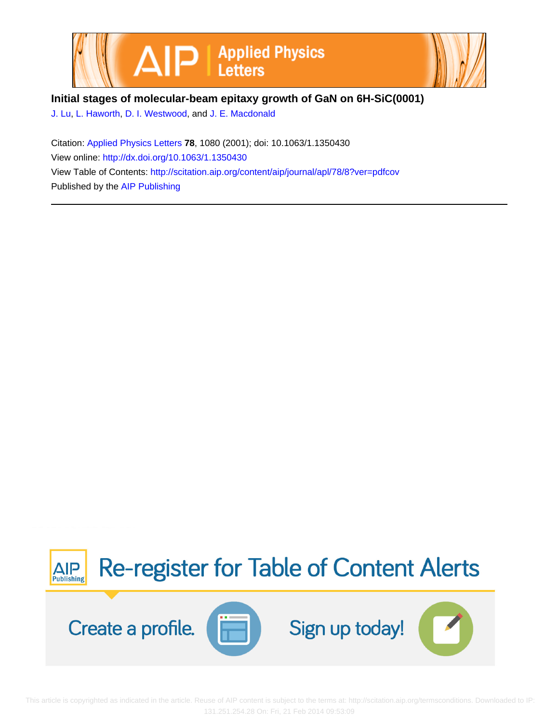



## **Initial stages of molecular-beam epitaxy growth of GaN on 6H-SiC(0001)**

[J. Lu,](http://scitation.aip.org/search?value1=J.+Lu&option1=author) [L. Haworth,](http://scitation.aip.org/search?value1=L.+Haworth&option1=author) [D. I. Westwood,](http://scitation.aip.org/search?value1=D.+I.+Westwood&option1=author) and [J. E. Macdonald](http://scitation.aip.org/search?value1=J.+E.+Macdonald&option1=author)

Citation: [Applied Physics Letters](http://scitation.aip.org/content/aip/journal/apl?ver=pdfcov) **78**, 1080 (2001); doi: 10.1063/1.1350430 View online: <http://dx.doi.org/10.1063/1.1350430> View Table of Contents: <http://scitation.aip.org/content/aip/journal/apl/78/8?ver=pdfcov> Published by the [AIP Publishing](http://scitation.aip.org/content/aip?ver=pdfcov)



 This article is copyrighted as indicated in the article. Reuse of AIP content is subject to the terms at: http://scitation.aip.org/termsconditions. Downloaded to IP: 131.251.254.28 On: Fri, 21 Feb 2014 09:53:09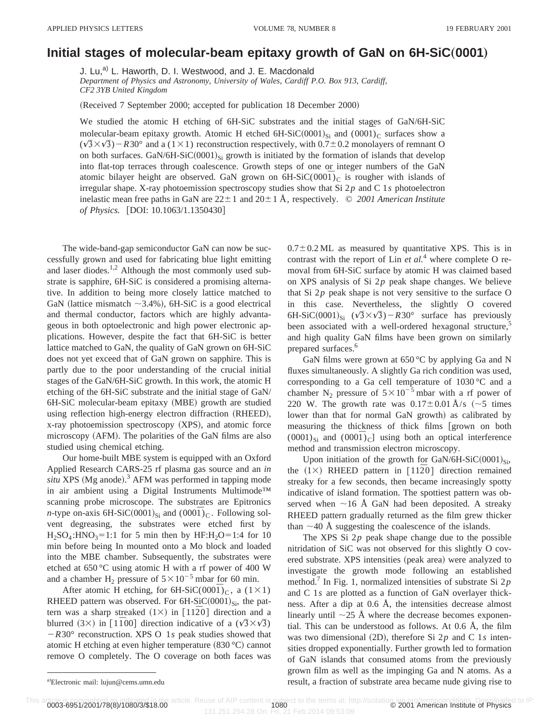## **Initial stages of molecular-beam epitaxy growth of GaN on 6H-SiC**"**0001**…

J. Lu,<sup>a)</sup> L. Haworth, D. I. Westwood, and J. E. Macdonald *Department of Physics and Astronomy, University of Wales, Cardiff P.O. Box 913, Cardiff, CF2 3YB United Kingdom*

(Received 7 September 2000; accepted for publication 18 December 2000)

We studied the atomic H etching of 6H-SiC substrates and the initial stages of GaN/6H-SiC molecular-beam epitaxy growth. Atomic H etched 6H-SiC $(0001)_{Si}$  and  $(0001)_{C}$  surfaces show a  $(\sqrt{3}\times\sqrt{3})$  – R30° and a (1×1) reconstruction respectively, with 0.7±0.2 monolayers of remnant O on both surfaces. GaN/6H-SiC $(0001)_{Si}$  growth is initiated by the formation of islands that develop into flat-top terraces through coalescence. Growth steps of one or integer numbers of the GaN atomic bilayer height are observed. GaN grown on  $6H-SiC(000\bar{T})_C$  is rougher with islands of irregular shape. X-ray photoemission spectroscopy studies show that Si 2*p* and C 1*s* photoelectron inelastic mean free paths in GaN are  $22 \pm 1$  and  $20 \pm 1$  Å, respectively.  $\odot$  2001 American Institute *of Physics.* [DOI: 10.1063/1.1350430]

The wide-band-gap semiconductor GaN can now be successfully grown and used for fabricating blue light emitting and laser diodes.<sup>1,2</sup> Although the most commonly used substrate is sapphire, 6H-SiC is considered a promising alternative. In addition to being more closely lattice matched to GaN (lattice mismatch  $\sim$ 3.4%), 6H-SiC is a good electrical and thermal conductor, factors which are highly advantageous in both optoelectronic and high power electronic applications. However, despite the fact that 6H-SiC is better lattice matched to GaN, the quality of GaN grown on 6H-SiC does not yet exceed that of GaN grown on sapphire. This is partly due to the poor understanding of the crucial initial stages of the GaN/6H-SiC growth. In this work, the atomic H etching of the 6H-SiC substrate and the initial stage of GaN/ 6H-SiC molecular-beam epitaxy (MBE) growth are studied using reflection high-energy electron diffraction (RHEED), x-ray photoemission spectroscopy (XPS), and atomic force microscopy (AFM). The polarities of the GaN films are also studied using chemical etching.

Our home-built MBE system is equipped with an Oxford Applied Research CARS-25 rf plasma gas source and an *in*  $situ$  XPS (Mg anode).<sup>3</sup> AFM was performed in tapping mode in air ambient using a Digital Instruments Multimode™ scanning probe microscope. The substrates are Epitronics *n*-type on-axis 6H-SiC(0001)<sub>Si</sub> and  $(000\bar{1})_C$ . Following solvent degreasing, the substrates were etched first by  $H_2SO_4$ :HNO<sub>3</sub>=1:1 for 5 min then by HF:H<sub>2</sub>O=1:4 for 10 min before being In mounted onto a Mo block and loaded into the MBE chamber. Subsequently, the substrates were etched at 650 °C using atomic H with a rf power of 400 W and a chamber H<sub>2</sub> pressure of  $5 \times 10^{-5}$  mbar for 60 min.

After atomic H etching, for  $6H-SiC(000\bar{T})_C$ , a  $(1\times1)$ RHEED pattern was observed. For  $6H-SiC(0001)_{Si}$ , the pattern was a sharp streaked  $(1\times)$  in  $[11\overline{2}0]$  direction and a blurred  $(3\times)$  in [1100] direction indicative of a  $(\sqrt{3}\times\sqrt{3})$ 2*R*30° reconstruction. XPS O 1*s* peak studies showed that atomic H etching at even higher temperature  $(830 °C)$  cannot remove O completely. The O coverage on both faces was  $0.7\pm0.2$  ML as measured by quantitative XPS. This is in contrast with the report of Lin *et al.*<sup>4</sup> where complete O removal from 6H-SiC surface by atomic H was claimed based on XPS analysis of Si 2*p* peak shape changes. We believe that Si 2*p* peak shape is not very sensitive to the surface O in this case. Nevertheless, the slightly O covered 6H-SiC(0001)<sub>Si</sub>  $(\sqrt{3}\times\sqrt{3})$ –R30° surface has previously been associated with a well-ordered hexagonal structure,<sup>5</sup> and high quality GaN films have been grown on similarly prepared surfaces.<sup>6</sup>

GaN films were grown at  $650^{\circ}$ C by applying Ga and N fluxes simultaneously. A slightly Ga rich condition was used, corresponding to a Ga cell temperature of 1030 °C and a chamber N<sub>2</sub> pressure of  $5 \times 10^{-5}$  mbar with a rf power of 220 W. The growth rate was  $0.17 \pm 0.01$  Å/s ( $\sim$ 5 times lower than that for normal GaN growth) as calibrated by measuring the thickness of thick films [grown on both  $(0001)_{Si}$  and  $(000\bar{I})_C$ ] using both an optical interference method and transmission electron microscopy.

Upon initiation of the growth for GaN/6H-SiC $(0.001)_{Si}$ , the  $(1\times)$  RHEED pattern in  $[11\overline{2}0]$  direction remained streaky for a few seconds, then became increasingly spotty indicative of island formation. The spottiest pattern was observed when  $\sim$ 16 Å GaN had been deposited. A streaky RHEED pattern gradually returned as the film grew thicker than  $\sim$ 40 Å suggesting the coalescence of the islands.

The XPS Si 2*p* peak shape change due to the possible nitridation of SiC was not observed for this slightly O covered substrate. XPS intensities (peak area) were analyzed to investigate the growth mode following an established method.7 In Fig. 1, normalized intensities of substrate Si 2*p* and C 1*s* are plotted as a function of GaN overlayer thickness. After a dip at 0.6 Å, the intensities decrease almost linearly until  $\sim$ 25 Å where the decrease becomes exponential. This can be understood as follows. At 0.6 Å, the film was two dimensional  $(2D)$ , therefore Si  $2p$  and C 1*s* intensities dropped exponentially. Further growth led to formation of GaN islands that consumed atoms from the previously grown film as well as the impinging Ga and N atoms. As a result, a fraction of substrate area became nude giving rise to

This article. **6951/2001/78(8)/1080/3/\$18.00** article. Reuse of AIP content is subject to the terms at: http://scitation.aip.org/termsconditions. Downloaded to IP:<br>131.251.254.28 On: Fri, 21 Feb 2014 09:53:09

a)Electronic mail: lujun@cems.umn.edu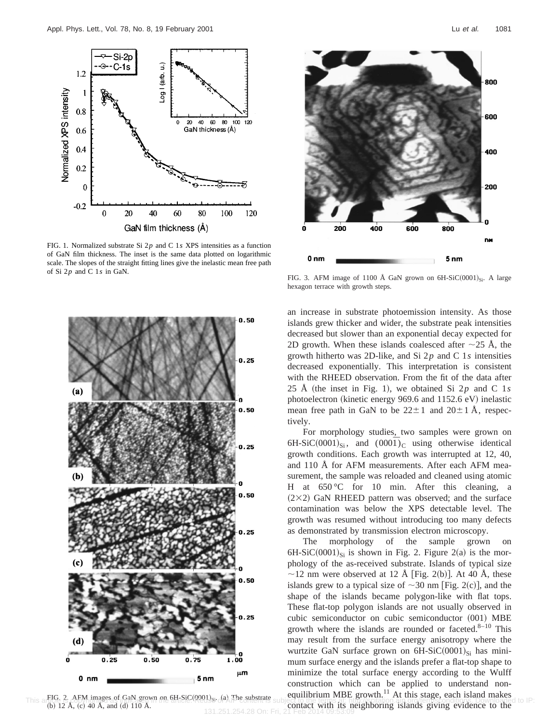

FIG. 1. Normalized substrate Si 2*p* and C 1*s* XPS intensities as a function of GaN film thickness. The inset is the same data plotted on logarithmic scale. The slopes of the straight fitting lines give the inelastic mean free path of Si 2*p* and C 1*s* in GaN.



This a fibe is determining to a second of the product with the contact with its neighboring islands giving evidence to the (b) 12 Å, (c) 40 Å, and (d) 110 Å. FIG. 2. AFM images of GaN grown on  $6H-SiC(0001)_{Si}$ . (a) The substrate  $(b)$  12 Å,  $(c)$  40 Å, and  $(d)$  110 Å.



FIG. 3. AFM image of 1100 Å GaN grown on  $6H-SiC(0001)_{Si}$ . A large hexagon terrace with growth steps.

an increase in substrate photoemission intensity. As those islands grew thicker and wider, the substrate peak intensities decreased but slower than an exponential decay expected for 2D growth. When these islands coalesced after  $\sim$ 25 Å, the growth hitherto was 2D-like, and Si 2*p* and C 1*s* intensities decreased exponentially. This interpretation is consistent with the RHEED observation. From the fit of the data after 25 Å (the inset in Fig. 1), we obtained Si  $2p$  and C 1*s* photoelectron (kinetic energy 969.6 and  $1152.6$  eV) inelastic mean free path in GaN to be  $22 \pm 1$  and  $20 \pm 1$  Å, respectively.

For morphology studies, two samples were grown on 6H-SiC $(0001)_{Si}$ , and  $(000\bar{1})_C$  using otherwise identical growth conditions. Each growth was interrupted at 12, 40, and 110 Å for AFM measurements. After each AFM measurement, the sample was reloaded and cleaned using atomic H at  $650^{\circ}$ C for 10 min. After this cleaning, a  $(2\times2)$  GaN RHEED pattern was observed; and the surface contamination was below the XPS detectable level. The growth was resumed without introducing too many defects as demonstrated by transmission electron microscopy.

The morphology of the sample grown on 6H-SiC $(0001)_{Si}$  is shown in Fig. 2. Figure 2(a) is the morphology of the as-received substrate. Islands of typical size  $\sim$ 12 nm were observed at 12 Å [Fig. 2(b)]. At 40 Å, these islands grew to a typical size of  $\sim$ 30 nm [Fig. 2(c)], and the shape of the islands became polygon-like with flat tops. These flat-top polygon islands are not usually observed in cubic semiconductor on cubic semiconductor (001) MBE growth where the islands are rounded or faceted. $8-10$  This may result from the surface energy anisotropy where the wurtzite GaN surface grown on  $6H-SiC(0001)_{Si}$  has minimum surface energy and the islands prefer a flat-top shape to minimize the total surface energy according to the Wulff construction which can be applied to understand nonequilibrium MBE growth.<sup>11</sup> At this stage, each island makes

131.251.254.28 On: Fri